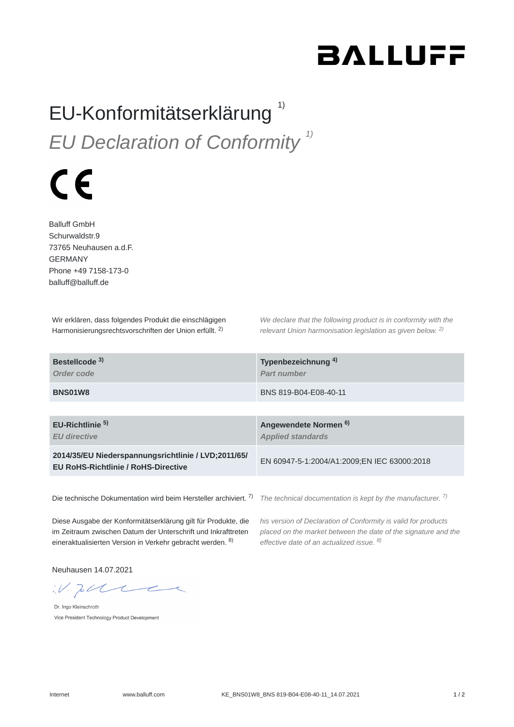## **BALLUFF**

## EU-Konformitätserklärung<sup>1)</sup> *EU Declaration of Conformity 1)*

## $\epsilon$

Balluff GmbH Schurwaldstr.9 73765 Neuhausen a.d.F. GERMANY Phone +49 7158-173-0 balluff@balluff.de

Wir erklären, dass folgendes Produkt die einschlägigen Harmonisierungsrechtsvorschriften der Union erfüllt. <sup>2)</sup>

*We declare that the following product is in conformity with the relevant Union harmonisation legislation as given below.* 2) *2)*

| Bestellcode <sup>3)</sup><br>Order code                                                           | Typenbezeichnung <sup>4)</sup><br>Part number                |
|---------------------------------------------------------------------------------------------------|--------------------------------------------------------------|
| BNS01W8                                                                                           | BNS 819-B04-E08-40-11                                        |
|                                                                                                   |                                                              |
| EU-Richtlinie <sup>5)</sup><br><b>EU directive</b>                                                | Angewendete Normen <sup>6)</sup><br><b>Applied standards</b> |
| 2014/35/EU Niederspannungsrichtlinie / LVD;2011/65/<br><b>EU RoHS-Richtlinie / RoHS-Directive</b> | EN 60947-5-1:2004/A1:2009;EN IEC 63000:2018                  |
|                                                                                                   |                                                              |

Die technische Dokumentation wird beim Hersteller archiviert. <sup>7)</sup> The technical documentation is kept by the manufacturer. <sup>7)</sup>

Diese Ausgabe der Konformitätserklärung gilt für Produkte, die im Zeitraum zwischen Datum der Unterschrift und Inkrafttreten eineraktualisierten Version in Verkehr gebracht werden. <sup>8)</sup>

*his version of Declaration of Conformity is valid for products placed on the market between the date of the signature and the effective date of an actualized issue. 8)*

Neuhausen 14.07.2021

 $W.$  To the

Dr. Ingo Kleinschroth Vice President Technology Product Development